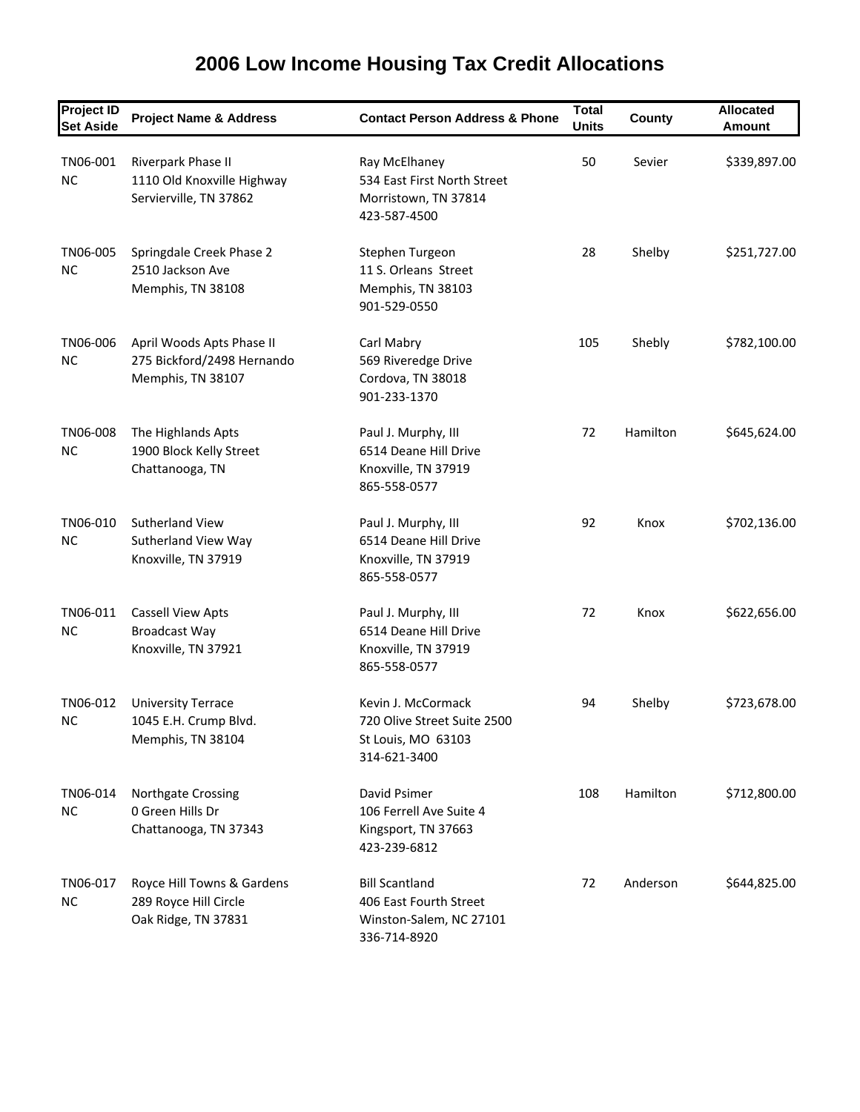| <b>Project ID</b><br><b>Set Aside</b> | <b>Project Name &amp; Address</b>                                            | <b>Contact Person Address &amp; Phone</b>                                                  | <b>Total</b><br><b>Units</b> | County   | <b>Allocated</b><br><b>Amount</b> |
|---------------------------------------|------------------------------------------------------------------------------|--------------------------------------------------------------------------------------------|------------------------------|----------|-----------------------------------|
| TN06-001<br><b>NC</b>                 | Riverpark Phase II<br>1110 Old Knoxville Highway<br>Servierville, TN 37862   | Ray McElhaney<br>534 East First North Street<br>Morristown, TN 37814<br>423-587-4500       | 50                           | Sevier   | \$339,897.00                      |
| TN06-005<br><b>NC</b>                 | Springdale Creek Phase 2<br>2510 Jackson Ave<br>Memphis, TN 38108            | Stephen Turgeon<br>11 S. Orleans Street<br>Memphis, TN 38103<br>901-529-0550               | 28                           | Shelby   | \$251,727.00                      |
| TN06-006<br><b>NC</b>                 | April Woods Apts Phase II<br>275 Bickford/2498 Hernando<br>Memphis, TN 38107 | Carl Mabry<br>569 Riveredge Drive<br>Cordova, TN 38018<br>901-233-1370                     | 105                          | Shebly   | \$782,100.00                      |
| TN06-008<br><b>NC</b>                 | The Highlands Apts<br>1900 Block Kelly Street<br>Chattanooga, TN             | Paul J. Murphy, III<br>6514 Deane Hill Drive<br>Knoxville, TN 37919<br>865-558-0577        | 72                           | Hamilton | \$645,624.00                      |
| TN06-010<br>NC.                       | <b>Sutherland View</b><br>Sutherland View Way<br>Knoxville, TN 37919         | Paul J. Murphy, III<br>6514 Deane Hill Drive<br>Knoxville, TN 37919<br>865-558-0577        | 92                           | Knox     | \$702,136.00                      |
| TN06-011<br><b>NC</b>                 | <b>Cassell View Apts</b><br><b>Broadcast Way</b><br>Knoxville, TN 37921      | Paul J. Murphy, III<br>6514 Deane Hill Drive<br>Knoxville, TN 37919<br>865-558-0577        | 72                           | Knox     | \$622,656.00                      |
| TN06-012<br>NC                        | <b>University Terrace</b><br>1045 E.H. Crump Blvd.<br>Memphis, TN 38104      | Kevin J. McCormack<br>720 Olive Street Suite 2500<br>St Louis, MO 63103<br>314-621-3400    | 94                           | Shelby   | \$723,678.00                      |
| TN06-014<br>NC                        | Northgate Crossing<br>0 Green Hills Dr<br>Chattanooga, TN 37343              | David Psimer<br>106 Ferrell Ave Suite 4<br>Kingsport, TN 37663<br>423-239-6812             | 108                          | Hamilton | \$712,800.00                      |
| TN06-017<br><b>NC</b>                 | Royce Hill Towns & Gardens<br>289 Royce Hill Circle<br>Oak Ridge, TN 37831   | <b>Bill Scantland</b><br>406 East Fourth Street<br>Winston-Salem, NC 27101<br>336-714-8920 | 72                           | Anderson | \$644,825.00                      |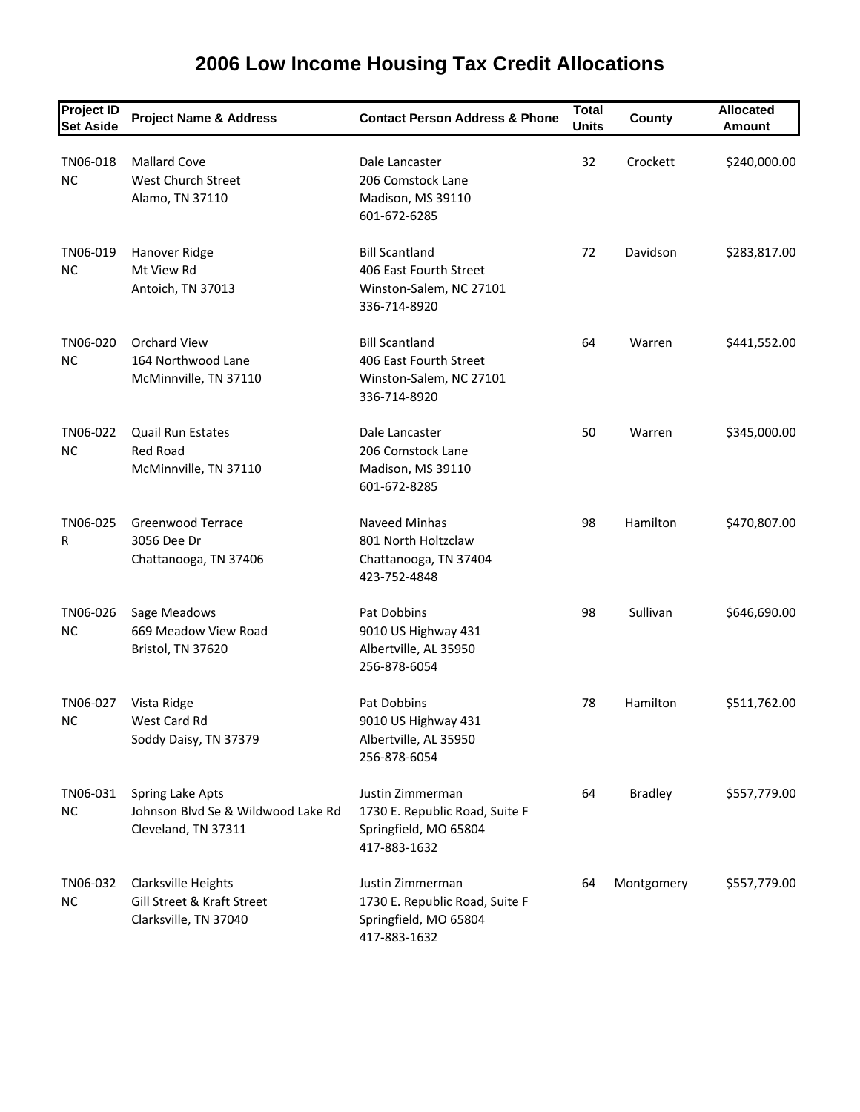| <b>Project ID</b><br><b>Set Aside</b> | <b>Project Name &amp; Address</b>                                             | <b>Contact Person Address &amp; Phone</b>                                                   | <b>Total</b><br><b>Units</b> | County         | <b>Allocated</b><br>Amount |
|---------------------------------------|-------------------------------------------------------------------------------|---------------------------------------------------------------------------------------------|------------------------------|----------------|----------------------------|
| TN06-018<br><b>NC</b>                 | <b>Mallard Cove</b><br><b>West Church Street</b><br>Alamo, TN 37110           | Dale Lancaster<br>206 Comstock Lane<br>Madison, MS 39110<br>601-672-6285                    | 32                           | Crockett       | \$240,000.00               |
| TN06-019<br><b>NC</b>                 | Hanover Ridge<br>Mt View Rd<br>Antoich, TN 37013                              | <b>Bill Scantland</b><br>406 East Fourth Street<br>Winston-Salem, NC 27101<br>336-714-8920  | 72                           | Davidson       | \$283,817.00               |
| TN06-020<br><b>NC</b>                 | <b>Orchard View</b><br>164 Northwood Lane<br>McMinnville, TN 37110            | <b>Bill Scantland</b><br>406 East Fourth Street<br>Winston-Salem, NC 27101<br>336-714-8920  | 64                           | Warren         | \$441,552.00               |
| TN06-022<br><b>NC</b>                 | <b>Quail Run Estates</b><br><b>Red Road</b><br>McMinnville, TN 37110          | Dale Lancaster<br>206 Comstock Lane<br>Madison, MS 39110<br>601-672-8285                    | 50                           | Warren         | \$345,000.00               |
| TN06-025<br>R                         | Greenwood Terrace<br>3056 Dee Dr<br>Chattanooga, TN 37406                     | Naveed Minhas<br>801 North Holtzclaw<br>Chattanooga, TN 37404<br>423-752-4848               | 98                           | Hamilton       | \$470,807.00               |
| TN06-026<br><b>NC</b>                 | Sage Meadows<br>669 Meadow View Road<br>Bristol, TN 37620                     | Pat Dobbins<br>9010 US Highway 431<br>Albertville, AL 35950<br>256-878-6054                 | 98                           | Sullivan       | \$646,690.00               |
| TN06-027<br>NC                        | Vista Ridge<br>West Card Rd<br>Soddy Daisy, TN 37379                          | Pat Dobbins<br>9010 US Highway 431<br>Albertville, AL 35950<br>256-878-6054                 | 78                           | Hamilton       | \$511,762.00               |
| TN06-031<br>NC.                       | Spring Lake Apts<br>Johnson Blvd Se & Wildwood Lake Rd<br>Cleveland, TN 37311 | Justin Zimmerman<br>1730 E. Republic Road, Suite F<br>Springfield, MO 65804<br>417-883-1632 | 64                           | <b>Bradley</b> | \$557,779.00               |
| TN06-032<br><b>NC</b>                 | Clarksville Heights<br>Gill Street & Kraft Street<br>Clarksville, TN 37040    | Justin Zimmerman<br>1730 E. Republic Road, Suite F<br>Springfield, MO 65804<br>417-883-1632 | 64                           | Montgomery     | \$557,779.00               |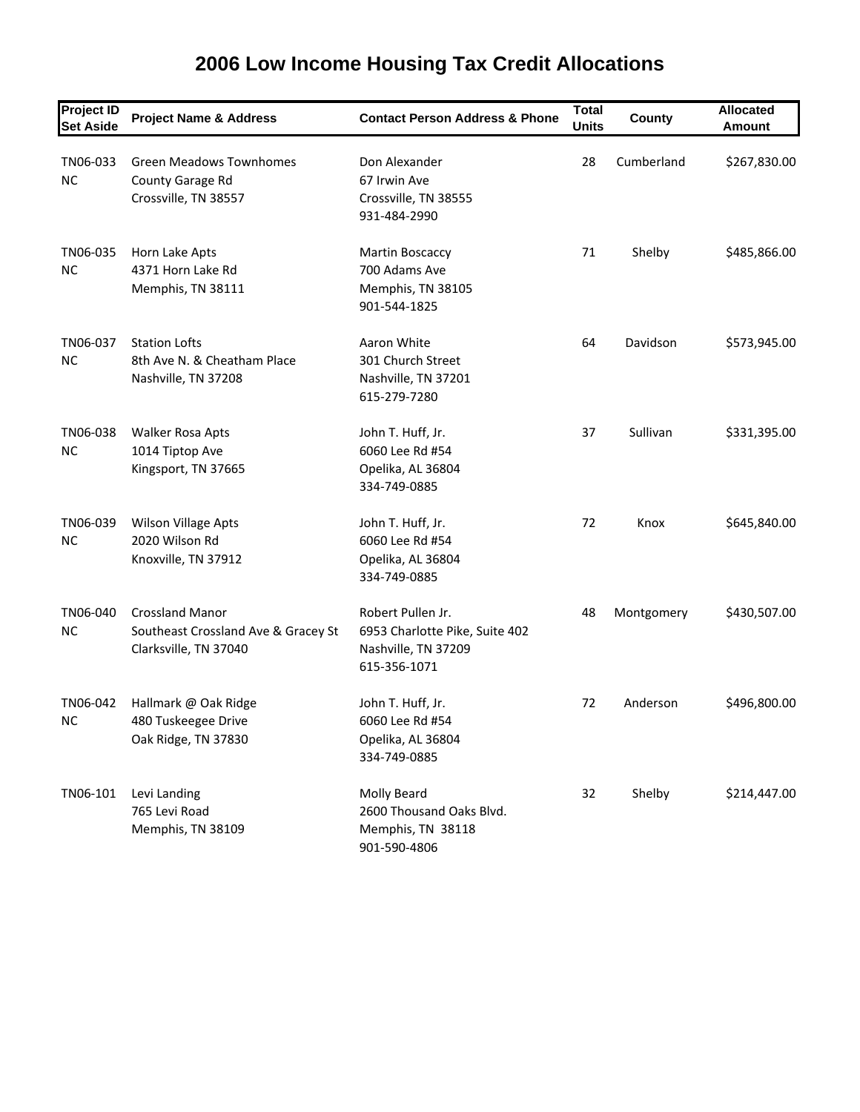| <b>Project ID</b><br><b>Set Aside</b> | <b>Project Name &amp; Address</b>                                                      | <b>Contact Person Address &amp; Phone</b>                                                  | <b>Total</b><br><b>Units</b> | County     | <b>Allocated</b><br><b>Amount</b> |
|---------------------------------------|----------------------------------------------------------------------------------------|--------------------------------------------------------------------------------------------|------------------------------|------------|-----------------------------------|
| TN06-033<br><b>NC</b>                 | <b>Green Meadows Townhomes</b><br>County Garage Rd<br>Crossville, TN 38557             | Don Alexander<br>67 Irwin Ave<br>Crossville, TN 38555<br>931-484-2990                      | 28                           | Cumberland | \$267,830.00                      |
| TN06-035<br><b>NC</b>                 | Horn Lake Apts<br>4371 Horn Lake Rd<br>Memphis, TN 38111                               | Martin Boscaccy<br>700 Adams Ave<br>Memphis, TN 38105<br>901-544-1825                      | 71                           | Shelby     | \$485,866.00                      |
| TN06-037<br><b>NC</b>                 | <b>Station Lofts</b><br>8th Ave N. & Cheatham Place<br>Nashville, TN 37208             | Aaron White<br>301 Church Street<br>Nashville, TN 37201<br>615-279-7280                    | 64                           | Davidson   | \$573,945.00                      |
| TN06-038<br><b>NC</b>                 | Walker Rosa Apts<br>1014 Tiptop Ave<br>Kingsport, TN 37665                             | John T. Huff, Jr.<br>6060 Lee Rd #54<br>Opelika, AL 36804<br>334-749-0885                  | 37                           | Sullivan   | \$331,395.00                      |
| TN06-039<br><b>NC</b>                 | Wilson Village Apts<br>2020 Wilson Rd<br>Knoxville, TN 37912                           | John T. Huff, Jr.<br>6060 Lee Rd #54<br>Opelika, AL 36804<br>334-749-0885                  | 72                           | Knox       | \$645,840.00                      |
| TN06-040<br><b>NC</b>                 | <b>Crossland Manor</b><br>Southeast Crossland Ave & Gracey St<br>Clarksville, TN 37040 | Robert Pullen Jr.<br>6953 Charlotte Pike, Suite 402<br>Nashville, TN 37209<br>615-356-1071 | 48                           | Montgomery | \$430,507.00                      |
| TN06-042<br>NC                        | Hallmark @ Oak Ridge<br>480 Tuskeegee Drive<br>Oak Ridge, TN 37830                     | John T. Huff, Jr.<br>6060 Lee Rd #54<br>Opelika, AL 36804<br>334-749-0885                  | 72                           | Anderson   | \$496,800.00                      |
| TN06-101                              | Levi Landing<br>765 Levi Road<br>Memphis, TN 38109                                     | Molly Beard<br>2600 Thousand Oaks Blvd.<br>Memphis, TN 38118<br>901-590-4806               | 32                           | Shelby     | \$214,447.00                      |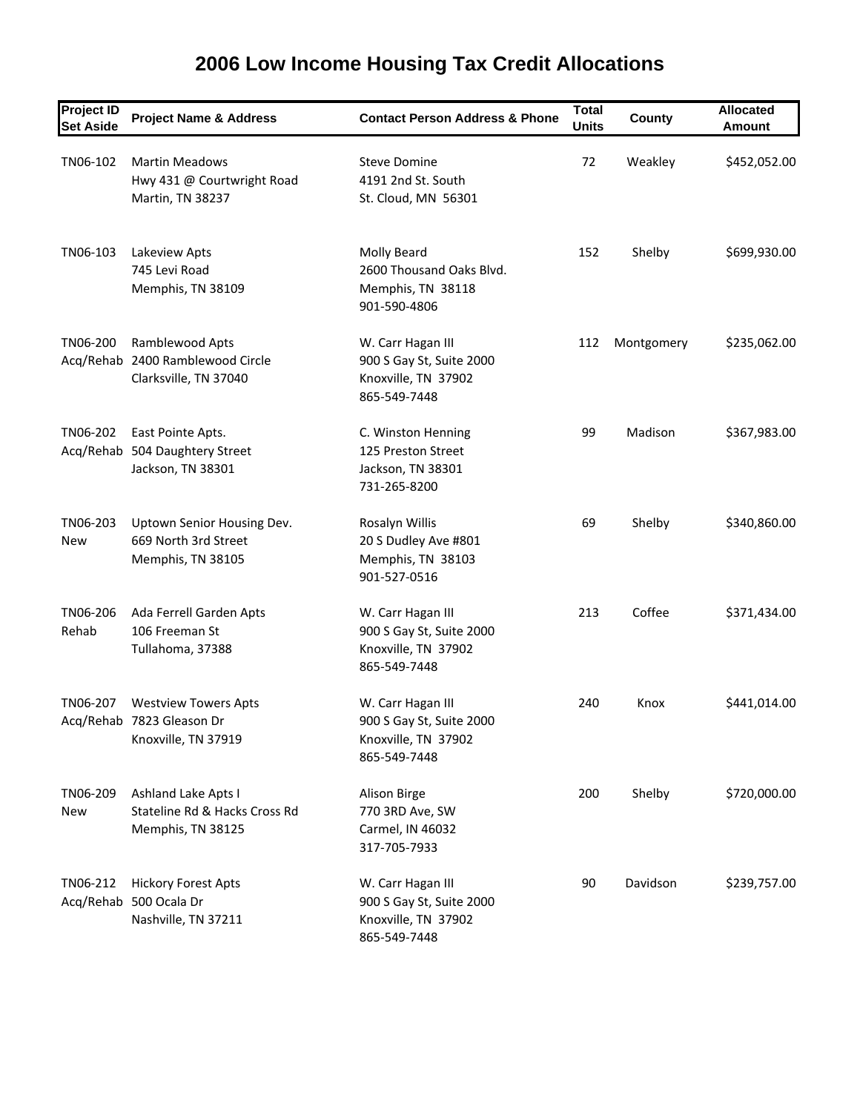| <b>Project ID</b><br><b>Set Aside</b> | <b>Project Name &amp; Address</b>                                               | <b>Contact Person Address &amp; Phone</b>                                            | <b>Total</b><br><b>Units</b> | County     | <b>Allocated</b><br><b>Amount</b> |
|---------------------------------------|---------------------------------------------------------------------------------|--------------------------------------------------------------------------------------|------------------------------|------------|-----------------------------------|
| TN06-102                              | <b>Martin Meadows</b><br>Hwy 431 @ Courtwright Road<br>Martin, TN 38237         | <b>Steve Domine</b><br>4191 2nd St. South<br>St. Cloud, MN 56301                     | 72                           | Weakley    | \$452,052.00                      |
| TN06-103                              | Lakeview Apts<br>745 Levi Road<br>Memphis, TN 38109                             | Molly Beard<br>2600 Thousand Oaks Blvd.<br>Memphis, TN 38118<br>901-590-4806         | 152                          | Shelby     | \$699,930.00                      |
| TN06-200                              | Ramblewood Apts<br>Acq/Rehab 2400 Ramblewood Circle<br>Clarksville, TN 37040    | W. Carr Hagan III<br>900 S Gay St, Suite 2000<br>Knoxville, TN 37902<br>865-549-7448 | 112                          | Montgomery | \$235,062.00                      |
| TN06-202                              | East Pointe Apts.<br>Acq/Rehab 504 Daughtery Street<br>Jackson, TN 38301        | C. Winston Henning<br>125 Preston Street<br>Jackson, TN 38301<br>731-265-8200        | 99                           | Madison    | \$367,983.00                      |
| TN06-203<br>New                       | Uptown Senior Housing Dev.<br>669 North 3rd Street<br>Memphis, TN 38105         | Rosalyn Willis<br>20 S Dudley Ave #801<br>Memphis, TN 38103<br>901-527-0516          | 69                           | Shelby     | \$340,860.00                      |
| TN06-206<br>Rehab                     | Ada Ferrell Garden Apts<br>106 Freeman St<br>Tullahoma, 37388                   | W. Carr Hagan III<br>900 S Gay St, Suite 2000<br>Knoxville, TN 37902<br>865-549-7448 | 213                          | Coffee     | \$371,434.00                      |
| TN06-207                              | <b>Westview Towers Apts</b><br>Acq/Rehab 7823 Gleason Dr<br>Knoxville, TN 37919 | W. Carr Hagan III<br>900 S Gay St, Suite 2000<br>Knoxville, TN 37902<br>865-549-7448 | 240                          | Knox       | \$441,014.00                      |
| TN06-209<br>New                       | Ashland Lake Apts I<br>Stateline Rd & Hacks Cross Rd<br>Memphis, TN 38125       | Alison Birge<br>770 3RD Ave, SW<br>Carmel, IN 46032<br>317-705-7933                  | 200                          | Shelby     | \$720,000.00                      |
| TN06-212                              | <b>Hickory Forest Apts</b><br>Acq/Rehab 500 Ocala Dr<br>Nashville, TN 37211     | W. Carr Hagan III<br>900 S Gay St, Suite 2000<br>Knoxville, TN 37902<br>865-549-7448 | 90                           | Davidson   | \$239,757.00                      |